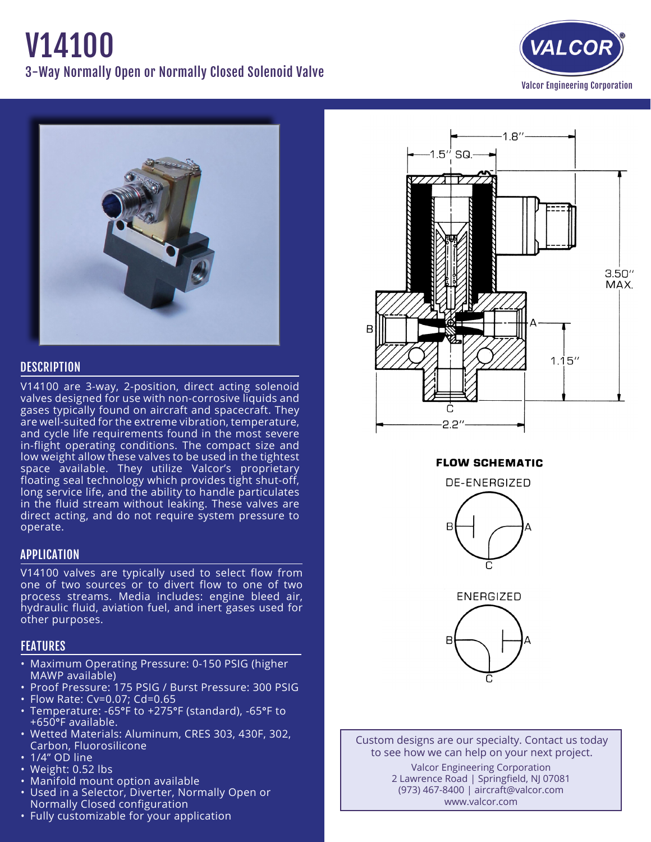# V14100 3-Way Normally Open or Normally Closed Solenoid Valve





## **DESCRIPTION**

V14100 are 3-way, 2-position, direct acting solenoid valves designed for use with non-corrosive liquids and gases typically found on aircraft and spacecraft. They are well-suited for the extreme vibration, temperature, and cycle life requirements found in the most severe in-flight operating conditions. The compact size and low weight allow these valves to be used in the tightest space available. They utilize Valcor's proprietary floating seal technology which provides tight shut-off, long service life, and the ability to handle particulates in the fluid stream without leaking. These valves are direct acting, and do not require system pressure to operate.

## APPLICATION

V14100 valves are typically used to select flow from one of two sources or to divert flow to one of two process streams. Media includes: engine bleed air, hydraulic fluid, aviation fuel, and inert gases used for other purposes.

## FEATURES

- Maximum Operating Pressure: 0-150 PSIG (higher MAWP available)
- Proof Pressure: 175 PSIG / Burst Pressure: 300 PSIG
- • Flow Rate: Cv=0.07; Cd=0.65
- • Temperature: -65°F to +275°F (standard), -65°F to +650°F available.
- • Wetted Materials: Aluminum, CRES 303, 430F, 302, Carbon, Fluorosilicone
- $\cdot$  1/4" OD line
- Weight: 0.52 lbs
- Manifold mount option available
- Used in a Selector, Diverter, Normally Open or Normally Closed configuration
- Fully customizable for your application



**FLOW SCHEMATIC** 



**ENERGIZED** 



Custom designs are our specialty. Contact us today to see how we can help on your next project. Valcor Engineering Corporation 2 Lawrence Road | Springfield, NJ 07081 (973) 467-8400 | aircraft@valcor.com www.valcor.com